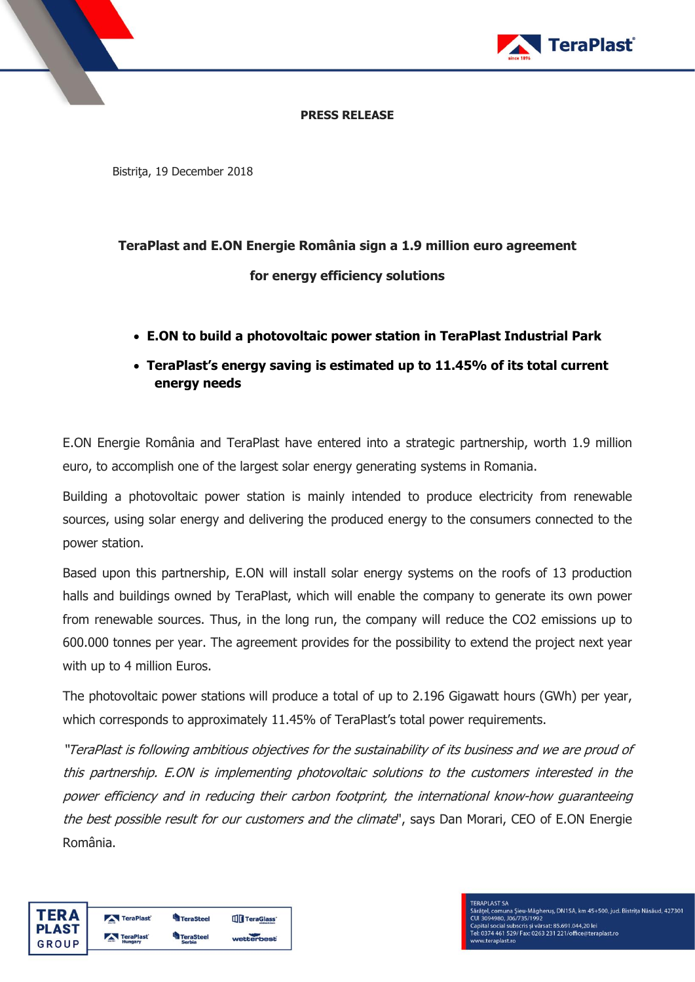

### **PRESS RELEASE**

Bistriţa, 19 December 2018

# **TeraPlast and E.ON Energie România sign a 1.9 million euro agreement**

**for energy efficiency solutions**

- **E.ON to build a photovoltaic power station in TeraPlast Industrial Park**
- **TeraPlast's energy saving is estimated up to 11.45% of its total current energy needs**

E.ON Energie România and TeraPlast have entered into a strategic partnership, worth 1.9 million euro, to accomplish one of the largest solar energy generating systems in Romania.

Building a photovoltaic power station is mainly intended to produce electricity from renewable sources, using solar energy and delivering the produced energy to the consumers connected to the power station.

Based upon this partnership, E.ON will install solar energy systems on the roofs of 13 production halls and buildings owned by TeraPlast, which will enable the company to generate its own power from renewable sources. Thus, in the long run, the company will reduce the CO2 emissions up to 600.000 tonnes per year. The agreement provides for the possibility to extend the project next year with up to 4 million Euros.

The photovoltaic power stations will produce a total of up to 2.196 Gigawatt hours (GWh) per year, which corresponds to approximately 11.45% of TeraPlast's total power requirements.

"TeraPlast is following ambitious objectives for the sustainability of its business and we are proud of this partnership. E.ON is implementing photovoltaic solutions to the customers interested in the power efficiency and in reducing their carbon footprint, the international know-how guaranteeing the best possible result for our customers and the climate", says Dan Morari, CEO of E.ON Energie România.

| ΓFR Δ        | TeraPlast        | <b>TeraSteel</b> | <b>TTT</b> TeraGlass' |
|--------------|------------------|------------------|-----------------------|
| <b>PLAST</b> | <b>TeraPlast</b> | eraSteel         |                       |
| GROUP        | Hungary          | <b>Serbia</b>    | wetterbest            |